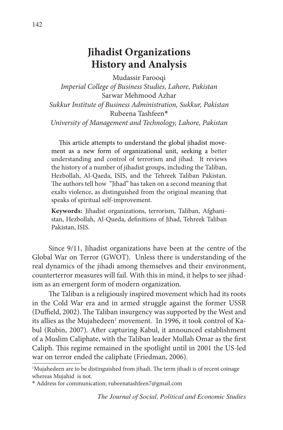# **Jihadist Organizations History and Analysis**

Mudassir Farooqi *Imperial College of Business Studies, Lahore, Pakistan* Sarwar Mehmood Azhar *Sukkur Institute of Business Administration, Sukkur, Pakistan* Rubeena Tashfeen\* *University of Management and Technology, Lahore, Pakistan*

This article attempts to understand the global jihadist movement as a new form of organizational unit, seeking a better understanding and control of terrorism and jihad. It reviews the history of a number of jihadist groups, including the Taliban, Hezbollah, Al-Qaeda, ISIS, and the Tehreek Taliban Pakistan. The authors tell how "Jihad" has taken on a second meaning that exalts violence, as distinguished from the original meaning that speaks of spiritual self-improvement.

**Keywords:** Jihadist organizations, terrorism, Taliban, Afghanistan, Hezbollah, Al-Queda, definitions of Jihad, Tehreek Taliban Pakistan, ISIS.

Since 9/11, Jihadist organizations have been at the centre of the Global War on Terror (GWOT). Unless there is understanding of the real dynamics of the jihadi among themselves and their environment, counterterror measures will fail. With this in mind, it helps to see jihadism as an emergent form of modern organization.

The Taliban is a religiously inspired movement which had its roots in the Cold War era and in armed struggle against the former USSR (Duffield, 2002). The Taliban insurgency was supported by the West and its allies as the Mujahedeen<sup>1</sup> movement. In 1996, it took control of Kabul (Rubin, 2007). After capturing Kabul, it announced establishment of a Muslim Caliphate, with the Taliban leader Mullah Omar as the first Caliph. This regime remained in the spotlight until in 2001 the US-led war on terror ended the caliphate (Friedman, 2006).

<sup>&</sup>lt;sup>1</sup>Mujahedeen are to be distinguished from jihadi. The term jihadi is of recent coinage whereas Mujahid is not.

<sup>\*</sup> Address for communication; rubeenatashfeen7@gmail.com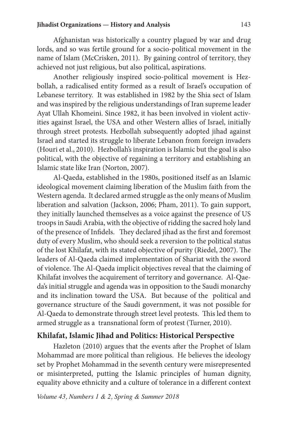#### **Jihadist Organizations — History and Analysis** 143

Afghanistan was historically a country plagued by war and drug lords, and so was fertile ground for a socio-political movement in the name of Islam (McCrisken, 2011). By gaining control of territory, they achieved not just religious, but also political, aspirations.

Another religiously inspired socio-political movement is Hezbollah, a radicalised entity formed as a result of Israel's occupation of Lebanese territory. It was established in 1982 by the Shia sect of Islam and was inspired by the religious understandings of Iran supreme leader Ayat Ullah Khomeini. Since 1982, it has been involved in violent activities against Israel, the USA and other Western allies of Israel, initially through street protests. Hezbollah subsequently adopted jihad against Israel and started its struggle to liberate Lebanon from foreign invaders (Houri et al., 2010). Hezbollah's inspiration is Islamic but the goal is also political, with the objective of regaining a territory and establishing an Islamic state like Iran (Norton, 2007).

Al-Qaeda, established in the 1980s, positioned itself as an Islamic ideological movement claiming liberation of the Muslim faith from the Western agenda. It declared armed struggle as the only means of Muslim liberation and salvation (Jackson, 2006; Pham, 2011). To gain support, they initially launched themselves as a voice against the presence of US troops in Saudi Arabia, with the objective of ridding the sacred holy land of the presence of Infidels. They declared jihad as the first and foremost duty of every Muslim, who should seek a reversion to the political status of the lost Khilafat, with its stated objective of purity (Riedel, 2007). The leaders of Al-Qaeda claimed implementation of Shariat with the sword of violence. The Al-Qaeda implicit objectives reveal that the claiming of Khilafat involves the acquirement of territory and governance. Al-Qaeda's initial struggle and agenda was in opposition to the Saudi monarchy and its inclination toward the USA. But because of the political and governance structure of the Saudi government, it was not possible for Al-Qaeda to demonstrate through street level protests. This led them to armed struggle as a transnational form of protest (Turner, 2010).

## **Khilafat, Islamic Jihad and Politics: Historical Perspective**

Hazleton (2010) argues that the events after the Prophet of Islam Mohammad are more political than religious. He believes the ideology set by Prophet Mohammad in the seventh century were misrepresented or misinterpreted, putting the Islamic principles of human dignity, equality above ethnicity and a culture of tolerance in a different context

*Volume 43, Numbers 1 & 2, Spring & Summer 2018*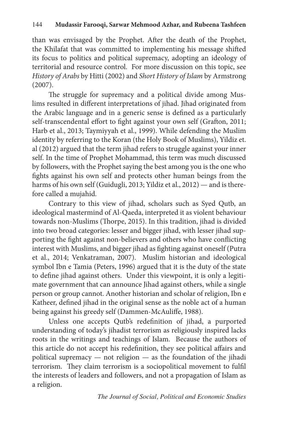than was envisaged by the Prophet. After the death of the Prophet, the Khilafat that was committed to implementing his message shifted its focus to politics and political supremacy, adopting an ideology of territorial and resource control. For more discussion on this topic, see *History of Arabs* by Hitti (2002) and *Short History of Islam* by Armstrong (2007).

The struggle for supremacy and a political divide among Muslims resulted in different interpretations of jihad. Jihad originated from the Arabic language and in a generic sense is defined as a particularly self-transcendental effort to fight against your own self (Grafton, 2011; Harb et al., 2013; Taymiyyah et al., 1999). While defending the Muslim identity by referring to the Koran (the Holy Book of Muslims), Yildiz et. al (2012) argued that the term jihad refers to struggle against your inner self. In the time of Prophet Mohammad, this term was much discussed by followers, with the Prophet saying the best among you is the one who fights against his own self and protects other human beings from the harms of his own self (Guidugli, 2013; Yildiz et al., 2012) — and is therefore called a mujahid.

Contrary to this view of jihad, scholars such as Syed Qutb, an ideological mastermind of Al-Qaeda, interpreted it as violent behaviour towards non-Muslims (Thorpe, 2015). In this tradition, jihad is divided into two broad categories: lesser and bigger jihad, with lesser jihad supporting the fight against non-believers and others who have conflicting interest with Muslims, and bigger jihad as fighting against oneself (Putra et al., 2014; Venkatraman, 2007). Muslim historian and ideological symbol Ibn e Tamia (Peters, 1996) argued that it is the duty of the state to define jihad against others. Under this viewpoint, it is only a legitimate government that can announce Jihad against others, while a single person or group cannot. Another historian and scholar of religion, Ibn e Katheer, defined jihad in the original sense as the noble act of a human being against his greedy self (Dammen-McAuliffe, 1988).

Unless one accepts Qutb's redefinition of jihad, a purported understanding of today's jihadist terrorism as religiously inspired lacks roots in the writings and teachings of Islam. Because the authors of this article do not accept his redefinition, they see political affairs and political supremacy — not religion — as the foundation of the jihadi terrorism. They claim terrorism is a sociopolitical movement to fulfil the interests of leaders and followers, and not a propagation of Islam as a religion.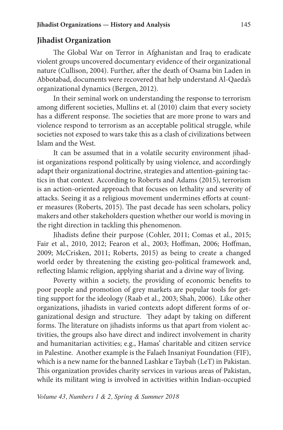## **Jihadist Organization**

The Global War on Terror in Afghanistan and Iraq to eradicate violent groups uncovered documentary evidence of their organizational nature (Cullison, 2004). Further, after the death of Osama bin Laden in Abbotabad, documents were recovered that help understand Al-Qaeda's organizational dynamics (Bergen, 2012).

In their seminal work on understanding the response to terrorism among different societies, Mullins et. al (2010) claim that every society has a different response. The societies that are more prone to wars and violence respond to terrorism as an acceptable political struggle, while societies not exposed to wars take this as a clash of civilizations between Islam and the West.

It can be assumed that in a volatile security environment jihadist organizations respond politically by using violence, and accordingly adapt their organizational doctrine, strategies and attention-gaining tactics in that context. According to Roberts and Adams (2015), terrorism is an action-oriented approach that focuses on lethality and severity of attacks. Seeing it as a religious movement undermines efforts at counter measures (Roberts, 2015). The past decade has seen scholars, policy makers and other stakeholders question whether our world is moving in the right direction in tackling this phenomenon.

Jihadists define their purpose (Cohler, 2011; Comas et al., 2015; Fair et al., 2010, 2012; Fearon et al., 2003; Hoffman, 2006; Hoffman, 2009; McCrisken, 2011; Roberts, 2015) as being to create a changed world order by threatening the existing geo-political framework and, reflecting Islamic religion, applying shariat and a divine way of living.

Poverty within a society, the providing of economic benefits to poor people and promotion of grey markets are popular tools for getting support for the ideology (Raab et al., 2003; Shah, 2006). Like other organizations, jihadists in varied contexts adopt different forms of organizational design and structure. They adapt by taking on different forms. The literature on jihadists informs us that apart from violent activities, the groups also have direct and indirect involvement in charity and humanitarian activities; e.g., Hamas' charitable and citizen service in Palestine. Another example is the Falaeh Insaniyat Foundation (FIF), which is a new name for the banned Lashkar e Taybah (LeT) in Pakistan. This organization provides charity services in various areas of Pakistan, while its militant wing is involved in activities within Indian-occupied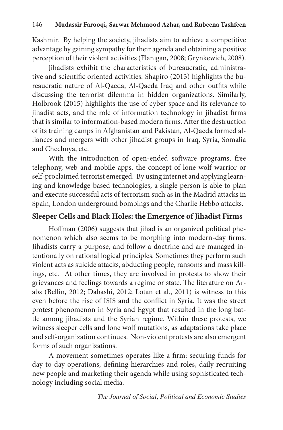Kashmir. By helping the society, jihadists aim to achieve a competitive advantage by gaining sympathy for their agenda and obtaining a positive perception of their violent activities (Flanigan, 2008; Grynkewich, 2008).

Jihadists exhibit the characteristics of bureaucratic, administrative and scientific oriented activities. Shapiro (2013) highlights the bureaucratic nature of Al-Qaeda, Al-Qaeda Iraq and other outfits while discussing the terrorist dilemma in hidden organizations. Similarly, Holbrook (2015) highlights the use of cyber space and its relevance to jihadist acts, and the role of information technology in jihadist firms that is similar to information-based modern firms. After the destruction of its training camps in Afghanistan and Pakistan, Al-Qaeda formed alliances and mergers with other jihadist groups in Iraq, Syria, Somalia and Chechnya, etc.

With the introduction of open-ended software programs, free telephony, web and mobile apps, the concept of lone-wolf warrior or self-proclaimed terrorist emerged. By using internet and applying learning and knowledge-based technologies, a single person is able to plan and execute successful acts of terrorism such as in the Madrid attacks in Spain, London underground bombings and the Charlie Hebbo attacks.

# **Sleeper Cells and Black Holes: the Emergence of Jihadist Firms**

Hoffman (2006) suggests that jihad is an organized political phenomenon which also seems to be morphing into modern-day firms. Jihadists carry a purpose, and follow a doctrine and are managed intentionally on rational logical principles. Sometimes they perform such violent acts as suicide attacks, abducting people, ransoms and mass killings, etc. At other times, they are involved in protests to show their grievances and feelings towards a regime or state. The literature on Arabs (Bellin, 2012; Dabashi, 2012; Lotan et al., 2011) is witness to this even before the rise of ISIS and the conflict in Syria. It was the street protest phenomenon in Syria and Egypt that resulted in the long battle among jihadists and the Syrian regime. Within these protests, we witness sleeper cells and lone wolf mutations, as adaptations take place and self-organization continues. Non-violent protests are also emergent forms of such organizations.

A movement sometimes operates like a firm: securing funds for day-to-day operations, defining hierarchies and roles, daily recruiting new people and marketing their agenda while using sophisticated technology including social media.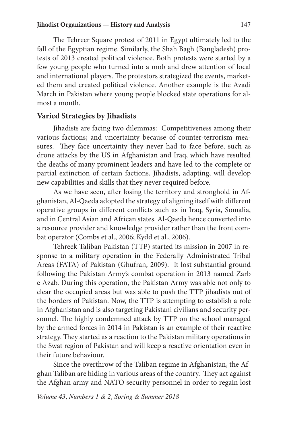The Tehreer Square protest of 2011 in Egypt ultimately led to the fall of the Egyptian regime. Similarly, the Shah Bagh (Bangladesh) protests of 2013 created political violence. Both protests were started by a few young people who turned into a mob and drew attention of local and international players. The protestors strategized the events, marketed them and created political violence. Another example is the Azadi March in Pakistan where young people blocked state operations for almost a month.

#### **Varied Strategies by Jihadists**

Jihadists are facing two dilemmas: Competitiveness among their various factions; and uncertainty because of counter-terrorism measures. They face uncertainty they never had to face before, such as drone attacks by the US in Afghanistan and Iraq, which have resulted the deaths of many prominent leaders and have led to the complete or partial extinction of certain factions. Jihadists, adapting, will develop new capabilities and skills that they never required before.

As we have seen, after losing the territory and stronghold in Afghanistan, Al-Qaeda adopted the strategy of aligning itself with different operative groups in different conflicts such as in Iraq, Syria, Somalia, and in Central Asian and African states. Al-Qaeda hence converted into a resource provider and knowledge provider rather than the front combat operator (Combs et al., 2006; Kydd et al., 2006).

Tehreek Taliban Pakistan (TTP) started its mission in 2007 in response to a military operation in the Federally Administrated Tribal Areas (FATA) of Pakistan (Ghufran, 2009). It lost substantial ground following the Pakistan Army's combat operation in 2013 named Zarb e Azab. During this operation, the Pakistan Army was able not only to clear the occupied areas but was able to push the TTP jihadists out of the borders of Pakistan. Now, the TTP is attempting to establish a role in Afghanistan and is also targeting Pakistani civilians and security personnel. The highly condemned attack by TTP on the school managed by the armed forces in 2014 in Pakistan is an example of their reactive strategy. They started as a reaction to the Pakistan military operations in the Swat region of Pakistan and will keep a reactive orientation even in their future behaviour.

Since the overthrow of the Taliban regime in Afghanistan, the Afghan Taliban are hiding in various areas of the country. They act against the Afghan army and NATO security personnel in order to regain lost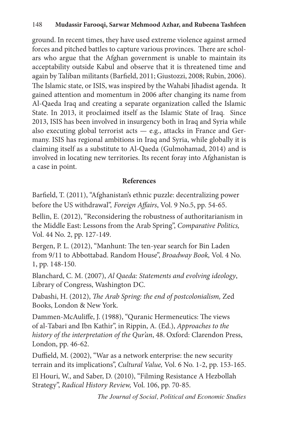ground. In recent times, they have used extreme violence against armed forces and pitched battles to capture various provinces. There are scholars who argue that the Afghan government is unable to maintain its acceptability outside Kabul and observe that it is threatened time and again by Taliban militants (Barfield, 2011; Giustozzi, 2008; Rubin, 2006). The Islamic state, or ISIS, was inspired by the Wahabi Jihadist agenda. It gained attention and momentum in 2006 after changing its name from Al-Qaeda Iraq and creating a separate organization called the Islamic State. In 2013, it proclaimed itself as the Islamic State of Iraq. Since 2013, ISIS has been involved in insurgency both in Iraq and Syria while also executing global terrorist acts — e.g., attacks in France and Germany. ISIS has regional ambitions in Iraq and Syria, while globally it is claiming itself as a substitute to Al-Qaeda (Gulmohamad, 2014) and is involved in locating new territories. Its recent foray into Afghanistan is a case in point.

# **References**

Barfield, T. (2011), "Afghanistan's ethnic puzzle: decentralizing power before the US withdrawal", *Foreign Affairs*, Vol. 9 No.5, pp. 54-65.

Bellin, E. (2012), "Reconsidering the robustness of authoritarianism in the Middle East: Lessons from the Arab Spring", *Comparative Politics,* Vol. 44 No. 2, pp. 127-149.

Bergen, P. L. (2012), "Manhunt: The ten-year search for Bin Laden from 9/11 to Abbottabad. Random House", *Broadway Book,* Vol. 4 No. 1, pp. 148-150.

Blanchard, C. M. (2007), *Al Qaeda: Statements and evolving ideology*, Library of Congress, Washington DC.

Dabashi, H. (2012), *The Arab Spring: the end of postcolonialism,* Zed Books, London & New York.

Dammen-McAuliffe, J. (1988), "Quranic Hermeneutics: The views of al-Tabari and Ibn Kathir", in Rippin, A. (Ed.), *Approaches to the history of the interpretation of the Qur'an*, 48. Oxford: Clarendon Press, London, pp. 46-62.

Duffield, M. (2002), "War as a network enterprise: the new security terrain and its implications", *Cultural Value,* Vol. 6 No. 1-2, pp. 153-165.

El Houri, W., and Saber, D. (2010), "Filming Resistance A Hezbollah Strategy", *Radical History Review,* Vol. 106, pp. 70-85.

*The Journal of Social, Political and Economic Studies*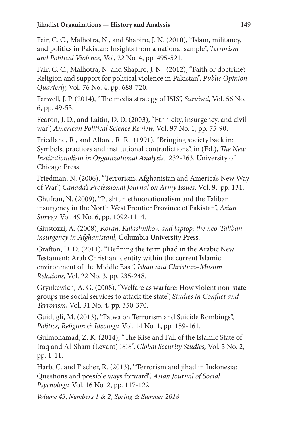Fair, C. C., Malhotra, N., and Shapiro, J. N. (2010), "Islam, militancy, and politics in Pakistan: Insights from a national sample", *Terrorism and Political Violence,* Vol, 22 No. 4, pp. 495-521.

Fair, C. C., Malhotra, N. and Shapiro, J. N. (2012), "Faith or doctrine? Religion and support for political violence in Pakistan", *Public Opinion Quarterly,* Vol. 76 No. 4, pp. 688-720.

Farwell, J. P. (2014), "The media strategy of ISIS", *Survival,* Vol. 56 No. 6, pp. 49-55.

Fearon, J. D., and Laitin, D. D. (2003), "Ethnicity, insurgency, and civil war", *American Political Science Review,* Vol. 97 No. 1, pp. 75-90.

Friedland, R., and Alford, R. R. (1991), "Bringing society back in: Symbols, practices and institutional contradictions", in (Ed.), *The New Institutionalism in Organizational Analysis,* 232-263. University of Chicago Press.

Friedman, N. (2006), "Terrorism, Afghanistan and America's New Way of War", *Canada's Professional Journal on Army Issues,* Vol. 9, pp. 131.

Ghufran, N. (2009), "Pushtun ethnonationalism and the Taliban insurgency in the North West Frontier Province of Pakistan", *Asian Survey,* Vol. 49 No. 6, pp. 1092-1114.

Giustozzi, A. (2008), *Koran, Kalashnikov, and laptop: the neo-Taliban insurgency in Afghanistanl,* Columbia University Press.

Grafton, D. D. (2011), "Defining the term jihād in the Arabic New Testament: Arab Christian identity within the current Islamic environment of the Middle East", *Islam and Christian–Muslim Relations,* Vol. 22 No. 3, pp. 235-248.

Grynkewich, A. G. (2008), "Welfare as warfare: How violent non-state groups use social services to attack the state", *Studies in Conflict and Terrorism,* Vol. 31 No. 4, pp. 350-370.

Guidugli, M. (2013), "Fatwa on Terrorism and Suicide Bombings", *Politics, Religion & Ideology,* Vol. 14 No. 1, pp. 159-161.

Gulmohamad, Z. K. (2014), "The Rise and Fall of the Islamic State of Iraq and Al-Sham (Levant) ISIS", *Global Security Studies,* Vol. 5 No. 2, pp. 1-11.

Harb, C. and Fischer, R. (2013), "Terrorism and jihad in Indonesia: Questions and possible ways forward", *Asian Journal of Social Psychology,* Vol. 16 No. 2, pp. 117-122.

*Volume 43, Numbers 1 & 2, Spring & Summer 2018*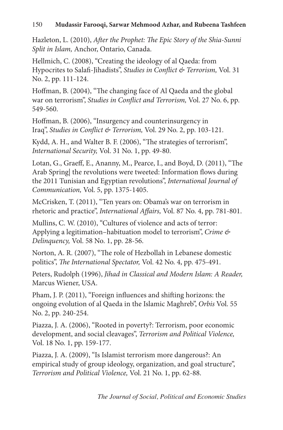Hazleton, L. (2010), *After the Prophet: The Epic Story of the Shia-Sunni Split in Islam,* Anchor, Ontario, Canada.

Hellmich, C. (2008), "Creating the ideology of al Qaeda: from Hypocrites to Salafi-Jihadists", *Studies in Conflict & Terrorism,* Vol. 31 No. 2, pp. 111-124.

Hoffman, B. (2004), "The changing face of Al Qaeda and the global war on terrorism", *Studies in Conflict and Terrorism,* Vol. 27 No. 6, pp. 549-560.

Hoffman, B. (2006), "Insurgency and counterinsurgency in Iraq", *Studies in Conflict & Terrorism,* Vol. 29 No. 2, pp. 103-121.

Kydd, A. H., and Walter B. F. (2006), "The strategies of terrorism", *International Security,* Vol. 31 No. 1, pp. 49-80.

Lotan, G., Graeff, E., Ananny, M., Pearce, I., and Boyd, D. (2011), "The Arab Spring| the revolutions were tweeted: Information flows during the 2011 Tunisian and Egyptian revolutions", *International Journal of Communication,* Vol. 5, pp. 1375-1405.

McCrisken, T. (2011), "Ten years on: Obama's war on terrorism in rhetoric and practice", *International Affairs,* Vol. 87 No. 4, pp. 781-801.

Mullins, C. W. (2010), "Cultures of violence and acts of terror: Applying a legitimation–habituation model to terrorism", *Crime & Delinquency,* Vol. 58 No. 1, pp. 28-56.

Norton, A. R. (2007), "The role of Hezbollah in Lebanese domestic politics", *The International Spectator,* Vol. 42 No. 4, pp. 475-491.

Peters, Rudolph (1996), *Jihad in Classical and Modern Islam: A Reader,* Marcus Wiener, USA.

Pham, J. P. (2011), "Foreign influences and shifting horizons: the ongoing evolution of al Qaeda in the Islamic Maghreb", *Orbis* Vol. 55 No. 2, pp. 240-254.

Piazza, J. A. (2006), "Rooted in poverty?: Terrorism, poor economic development, and social cleavages", *Terrorism and Political Violence,*  Vol. 18 No. 1, pp. 159-177.

Piazza, J. A. (2009), "Is Islamist terrorism more dangerous?: An empirical study of group ideology, organization, and goal structure", *Terrorism and Political Violence,* Vol. 21 No. 1, pp. 62-88.